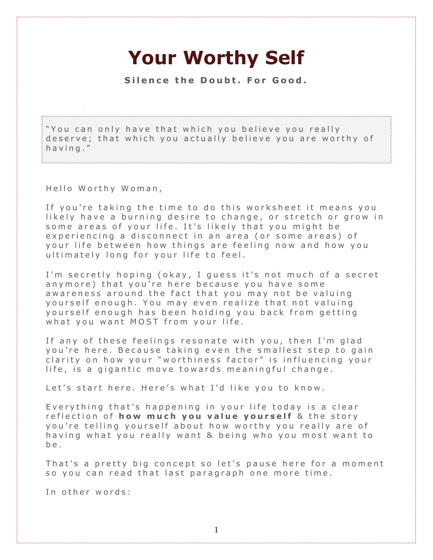## **Your Worthy Self**

Silence the Doubt. For Good.

"You can only have that which you believe you really deserve; that which you actually believe you are worthy of having."

Hello Worthy Woman,

If you're taking the time to do this worksheet it means you likely have a burning desire to change, or stretch or grow in some areas of your life. It's likely that you might be experiencing a disconnect in an area (or some areas) of your life between how things are feeling now and how you ultimately long for your life to feel.

I'm secretly hoping (okay, I guess it's not much of a secret anymore) that you're here because you have some aw a reness around the fact that you may not be valuing yourself enough. You may even realize that not valuing yourself enough has been holding you back from getting what you want MOST from your life.

If any of these feelings resonate with you, then I'm glad you're here. Because taking even the smallest step to gain clarity on how your "worthiness factor" is influencing your life, is a gigantic move towards meaningful change.

Let's start here. Here's what I'd like you to know.

Everything that's happening in your life today is a clear reflection of **how much you value yourself** & the story you're telling yourself about how worthy you really are of having what you really want & being who you most want to b e .

That's a pretty big concept so let's pause here for a moment so you can read that last paragraph one more time.

In other words: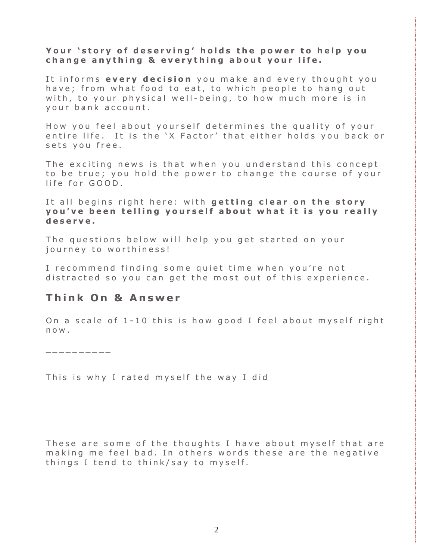## Your 'story of deserving' holds the power to help you **c h a n g e a n y t h i n g & e v e r y t h i n g a b o u t y o u r l i f e .**

It informs every decision you make and every thought you have; from what food to eat, to which people to hang out with, to your physical well-being, to how much more is in vour bank account.

How you feel about yourself determines the quality of your entire life. It is the 'X Factor' that either holds you back or sets you free.

The exciting news is that when you understand this concept to be true; you hold the power to change the course of your life for GOOD.

It all begins right here: with **getting clear on the story y o u ' v e b e e n t e l l i n g y o u r s e l f a b o u t w h a t i t i s y o u r e a l l y d e s e r v e .**

The questions below will help you get started on your journey to worthiness!

I recommend finding some quiet time when you're not distracted so you can get the most out of this experience.

## **T h i n k O n & A n s w e r**

On a scale of  $1 - 10$  this is how good I feel about myself right n o w .

 $\_\_$ 

This is why I rated myself the way I did

These are some of the thoughts I have about myself that are making me feel bad. In others words these are the negative things I tend to think/say to myself.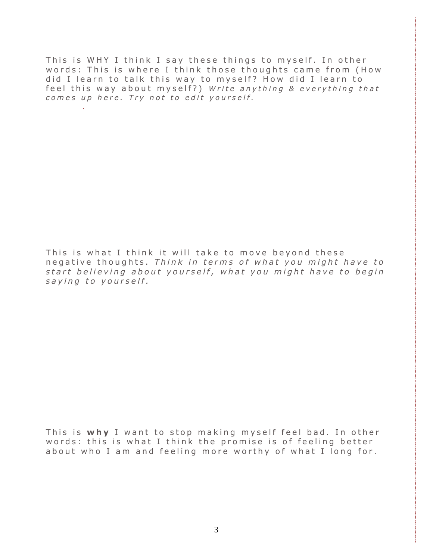This is WHY I think I say these things to myself. In other words: This is where I think those thoughts came from (How did I learn to talk this way to myself? How did I learn to feel this way about myself?) *Write anything & everything that c o m e s u p h e r e . T r y n o t t o e d i t y o u r s e l f .*

This is what I think it will take to move beyond these n e g a t i v e t h o u g h t s . *T h i n k i n t e r m s o f what y o u m i g h t h a v e t o s t a r t b e l i e v i n g a b o u t y o u r s e l f , what y o u m i g h t h a v e t o b e g i n s a y i n g t o y o u r s e l f .*

This is why I want to stop making myself feel bad. In other words: this is what I think the promise is of feeling better about who I am and feeling more worthy of what I long for.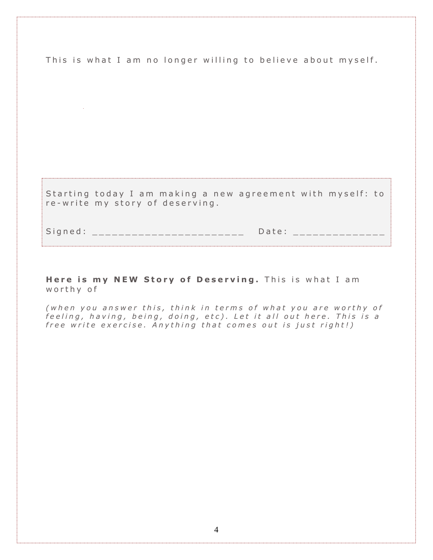This is what I am no longer willing to believe about myself.

Starting today I am making a new agreement with myself: to re-write my story of deserving.

S i g n e d : \_ \_ \_ \_ \_ \_ \_ \_ \_ \_ \_ \_ \_ \_ \_ \_ \_ \_ \_ \_ \_ \_ \_ D a t e : \_ \_ \_ \_ \_ \_ \_ \_ \_ \_ \_ \_ \_ \_

**Here is my NEW Story of Deserving.** This is what I am w o r th y of

*( w h e n y o u a n s w e r t h i s , t h i n k i n t e r m s o f w h a t y o u a r e w o r t h y o f f e e l i n g , h a v i n g , b e i n g , d o i n g , e t c ) . L e t i t a l l o u t h e r e . T h i s i s a f r e e w r i t e e x e r c i s e . A n y t h i n g t h a t c o m e s o u t i s j u s t r i g h t ! )*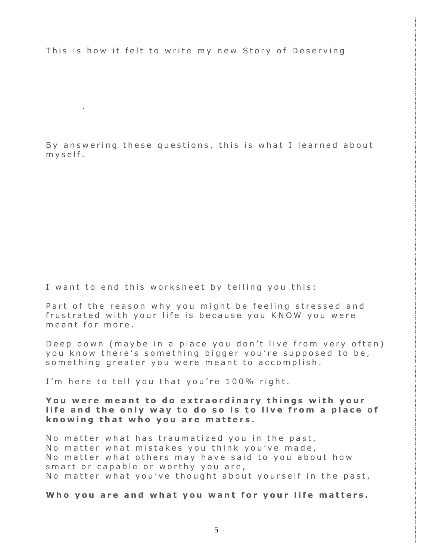This is how it felt to write my new Story of Deserving

By answering these questions, this is what I learned about  $m y s e$  If.

I want to end this worksheet by telling you this:

Part of the reason why you might be feeling stressed and frustrated with your life is because you KNOW you were m e a n t for more.

Deep down (maybe in a place you don't live from very often) you know there's something bigger you're supposed to be, so mething greater you were meant to accomplish.

I'm here to tell you that you're 100% right.

You were meant to do extraordinary things with your **l i f e a n d t h e o n l y w a y t o d o s o i s t o l i v e f r o m a p l a c e o f k n o w i n g t h a t w h o y o u a r e m a t t e r s .**

No matter what has traumatized you in the past, No matter what mistakes you think you've made, No matter what others may have said to you about how smart or capable or worthy you are, No matter what you've thought about yourself in the past,

Who you are and what you want for your life matters.